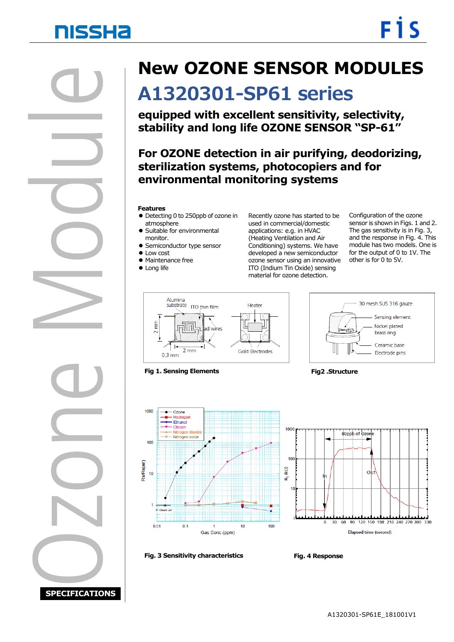# **NISSHA**

Ozone Module Ξ

**SPECIFICATIONS**

### **New OZONE SENSOR MODULES**

## **A1320301-SP61 series**

**equipped with excellent sensitivity, selectivity, stability and long life OZONE SENSOR "SP-61"**

 **sterilization systems, photocopiers and for For OZONE detection in air purifying, deodorizing, environmental monitoring systems**

#### **Features**

- Detecting 0 to 250ppb of ozone in atmosphere
- Suitable for environmental monitor.
- **Semiconductor type sensor**
- Low cost
- **Maintenance free**
- Long life

Recently ozone has started to be used in commercial/domestic applications: e.g. in HVAC (Heating Ventilation and Air Conditioning) systems. We have developed a new semiconductor ozone sensor using an innovative ITO (Indium Tin Oxide) sensing material for ozone detection.

Configuration of the ozone sensor is shown in Figs. 1 and 2. The gas sensitivity is in Fig. 3, and the response in Fig. 4. This module has two models. One is for the output of 0 to 1V. The other is for 0 to 5V.

30 mesh SUS 316 gauze

Sensing element

Nickel plated

Electrode pins

brass ring Ceramic base



**Fig 1. Sensing Elements Fig2 .Structure**

 $-$  Ozone Ethanol Chlorin

100

 $10$ 

 $0.01$ 

é.



**Fig. 3 Sensitivity characteristics Fig. 4 Response**

 $0.1$